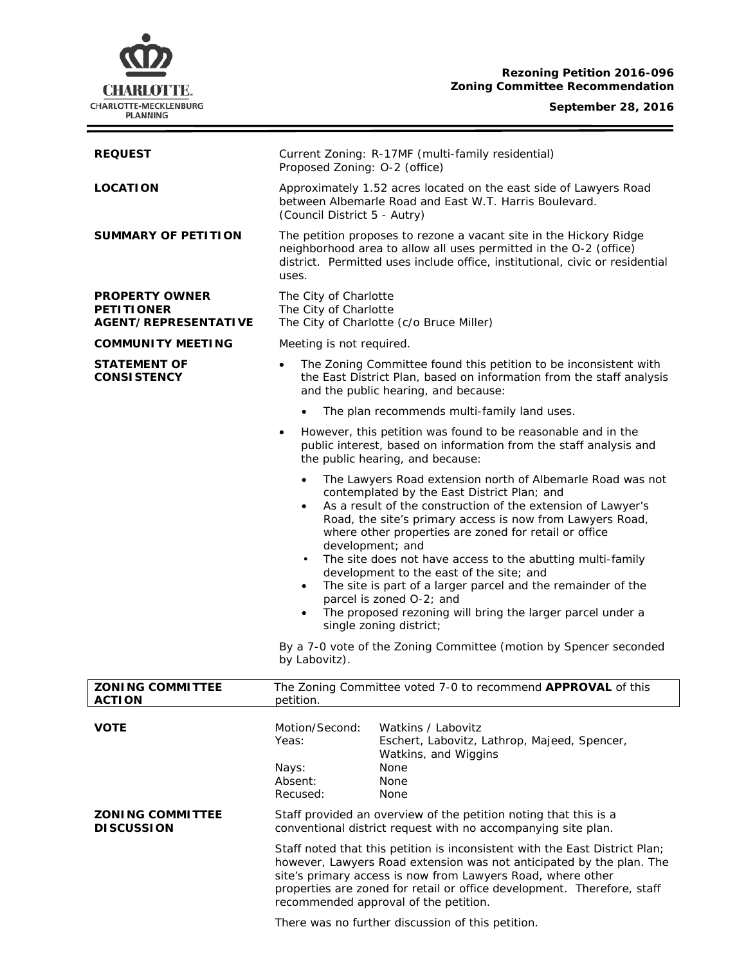# **Rezoning Petition 2016-096 Zoning Committee Recommendation**

## **September 28, 2016**



| <b>REQUEST</b>                                                            | Current Zoning: R-17MF (multi-family residential)<br>Proposed Zoning: O-2 (office)                                                                                                                                                                                                                                                            |
|---------------------------------------------------------------------------|-----------------------------------------------------------------------------------------------------------------------------------------------------------------------------------------------------------------------------------------------------------------------------------------------------------------------------------------------|
| <b>LOCATION</b>                                                           | Approximately 1.52 acres located on the east side of Lawyers Road<br>between Albemarle Road and East W.T. Harris Boulevard.<br>(Council District 5 - Autry)                                                                                                                                                                                   |
| <b>SUMMARY OF PETITION</b>                                                | The petition proposes to rezone a vacant site in the Hickory Ridge<br>neighborhood area to allow all uses permitted in the O-2 (office)<br>district. Permitted uses include office, institutional, civic or residential<br>uses.                                                                                                              |
| <b>PROPERTY OWNER</b><br><b>PETITIONER</b><br><b>AGENT/REPRESENTATIVE</b> | The City of Charlotte<br>The City of Charlotte<br>The City of Charlotte (c/o Bruce Miller)                                                                                                                                                                                                                                                    |
| <b>COMMUNITY MEETING</b>                                                  | Meeting is not required.                                                                                                                                                                                                                                                                                                                      |
| <b>STATEMENT OF</b><br><b>CONSISTENCY</b>                                 | The Zoning Committee found this petition to be inconsistent with<br>$\bullet$<br>the East District Plan, based on information from the staff analysis<br>and the public hearing, and because:                                                                                                                                                 |
|                                                                           | The plan recommends multi-family land uses.                                                                                                                                                                                                                                                                                                   |
|                                                                           | However, this petition was found to be reasonable and in the<br>$\bullet$<br>public interest, based on information from the staff analysis and<br>the public hearing, and because:                                                                                                                                                            |
|                                                                           | The Lawyers Road extension north of Albemarle Road was not<br>$\bullet$<br>contemplated by the East District Plan; and<br>As a result of the construction of the extension of Lawyer's<br>$\bullet$<br>Road, the site's primary access is now from Lawyers Road,<br>where other properties are zoned for retail or office<br>development; and |
|                                                                           | The site does not have access to the abutting multi-family<br>$\bullet$<br>development to the east of the site; and<br>The site is part of a larger parcel and the remainder of the<br>$\bullet$<br>parcel is zoned O-2; and<br>The proposed rezoning will bring the larger parcel under a<br>$\bullet$<br>single zoning district;            |
|                                                                           | By a 7-0 vote of the Zoning Committee (motion by Spencer seconded<br>by Labovitz).                                                                                                                                                                                                                                                            |
| <b>ZONING COMMITTEE</b><br><b>ACTION</b>                                  | The Zoning Committee voted 7-0 to recommend APPROVAL of this<br>petition.                                                                                                                                                                                                                                                                     |
|                                                                           |                                                                                                                                                                                                                                                                                                                                               |
| <b>VOTE</b>                                                               | Motion/Second:<br>Watkins / Labovitz<br>Eschert, Labovitz, Lathrop, Majeed, Spencer,<br>Yeas:<br>Watkins, and Wiggins                                                                                                                                                                                                                         |
|                                                                           | None<br>Nays:<br>Absent:<br>None<br>Recused:<br>None                                                                                                                                                                                                                                                                                          |
| <b>ZONING COMMITTEE</b>                                                   | Staff provided an overview of the petition noting that this is a                                                                                                                                                                                                                                                                              |

# **DISCUSSION**

Staff noted that this petition is inconsistent with the *East District Plan;* however, Lawyers Road extension was not anticipated by the plan. The site's primary access is now from Lawyers Road, where other properties are zoned for retail or office development. Therefore, staff recommended approval of the petition.

conventional district request with no accompanying site plan.

There was no further discussion of this petition.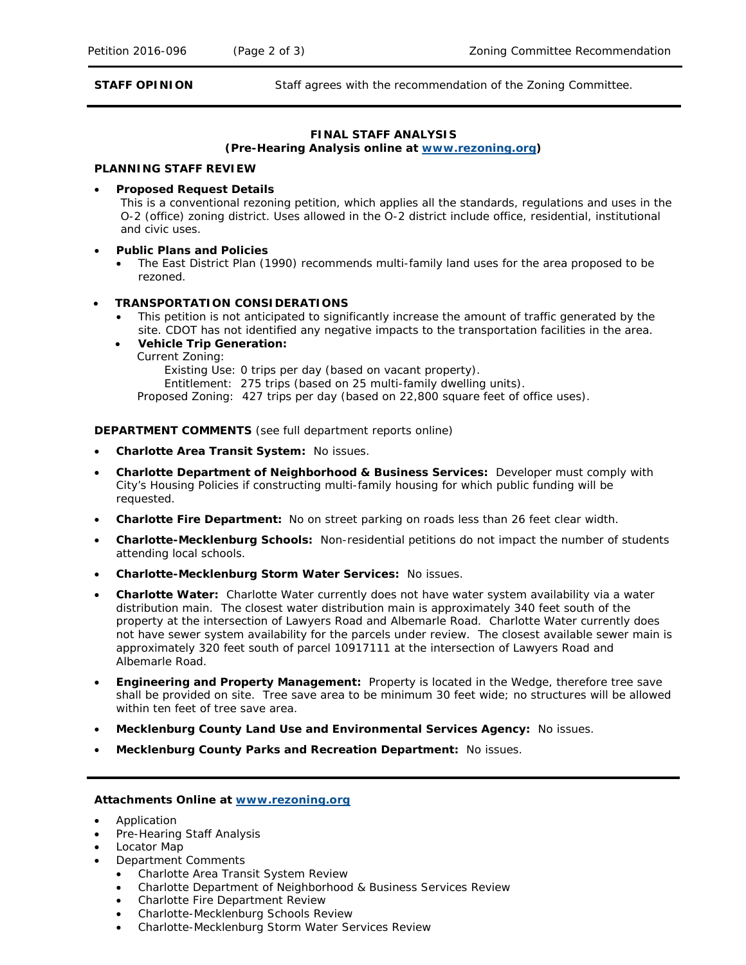**STAFF OPINION** Staff agrees with the recommendation of the Zoning Committee.

# **FINAL STAFF ANALYSIS**

#### **(Pre-Hearing Analysis online at [www.rezoning.org\)](http://www.rezoning.org/)**

#### **PLANNING STAFF REVIEW**

• **Proposed Request Details**

This is a conventional rezoning petition, which applies all the standards, regulations and uses in the O-2 (office) zoning district. Uses allowed in the O-2 district include office, residential, institutional and civic uses.

- **Public Plans and Policies**
	- The *East District Plan* (1990) recommends multi-family land uses for the area proposed to be rezoned.

## • **TRANSPORTATION CONSIDERATIONS**

- This petition is not anticipated to significantly increase the amount of traffic generated by the site. CDOT has not identified any negative impacts to the transportation facilities in the area.
- **Vehicle Trip Generation:**
	- Current Zoning:

Existing Use: 0 trips per day (based on vacant property).

Entitlement: 275 trips (based on 25 multi-family dwelling units).

Proposed Zoning: 427 trips per day (based on 22,800 square feet of office uses).

**DEPARTMENT COMMENTS** (see full department reports online)

- **Charlotte Area Transit System:** No issues.
- **Charlotte Department of Neighborhood & Business Services:** Developer must comply with City's Housing Policies if constructing multi-family housing for which public funding will be requested.
- **Charlotte Fire Department:** No on street parking on roads less than 26 feet clear width.
- **Charlotte-Mecklenburg Schools:** Non-residential petitions do not impact the number of students attending local schools.
- **Charlotte-Mecklenburg Storm Water Services:** No issues.
- **Charlotte Water:** Charlotte Water currently does not have water system availability via a water distribution main. The closest water distribution main is approximately 340 feet south of the property at the intersection of Lawyers Road and Albemarle Road. Charlotte Water currently does not have sewer system availability for the parcels under review. The closest available sewer main is approximately 320 feet south of parcel 10917111 at the intersection of Lawyers Road and Albemarle Road.
- **Engineering and Property Management:** Property is located in the Wedge, therefore tree save shall be provided on site. Tree save area to be minimum 30 feet wide; no structures will be allowed within ten feet of tree save area.
- **Mecklenburg County Land Use and Environmental Services Agency:** No issues.
- **Mecklenburg County Parks and Recreation Department:** No issues.

#### **Attachments Online at [www.rezoning.org](http://www.rezoning.org/)**

- Application
- Pre-Hearing Staff Analysis
- Locator Map
- Department Comments
	- Charlotte Area Transit System Review
	- Charlotte Department of Neighborhood & Business Services Review
	- Charlotte Fire Department Review
	- Charlotte-Mecklenburg Schools Review
	- Charlotte-Mecklenburg Storm Water Services Review